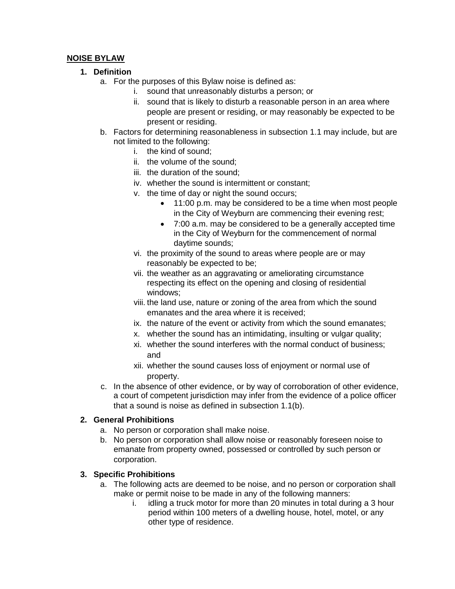### **NOISE BYLAW**

### **1. Definition**

- a. For the purposes of this Bylaw noise is defined as:
	- i. sound that unreasonably disturbs a person; or
	- ii. sound that is likely to disturb a reasonable person in an area where people are present or residing, or may reasonably be expected to be present or residing.
- b. Factors for determining reasonableness in subsection 1.1 may include, but are not limited to the following:
	- i. the kind of sound;
	- ii. the volume of the sound;
	- iii. the duration of the sound;
	- iv. whether the sound is intermittent or constant;
	- v. the time of day or night the sound occurs;
		- 11:00 p.m. may be considered to be a time when most people in the City of Weyburn are commencing their evening rest;
		- 7:00 a.m. may be considered to be a generally accepted time in the City of Weyburn for the commencement of normal daytime sounds;
	- vi. the proximity of the sound to areas where people are or may reasonably be expected to be;
	- vii. the weather as an aggravating or ameliorating circumstance respecting its effect on the opening and closing of residential windows;
	- viii. the land use, nature or zoning of the area from which the sound emanates and the area where it is received;
	- ix. the nature of the event or activity from which the sound emanates;
	- x. whether the sound has an intimidating, insulting or vulgar quality;
	- xi. whether the sound interferes with the normal conduct of business; and
	- xii. whether the sound causes loss of enjoyment or normal use of property.
- c. In the absence of other evidence, or by way of corroboration of other evidence, a court of competent jurisdiction may infer from the evidence of a police officer that a sound is noise as defined in subsection 1.1(b).

#### **2. General Prohibitions**

- a. No person or corporation shall make noise.
- b. No person or corporation shall allow noise or reasonably foreseen noise to emanate from property owned, possessed or controlled by such person or corporation.

#### **3. Specific Prohibitions**

- a. The following acts are deemed to be noise, and no person or corporation shall make or permit noise to be made in any of the following manners:
	- i. idling a truck motor for more than 20 minutes in total during a 3 hour period within 100 meters of a dwelling house, hotel, motel, or any other type of residence.